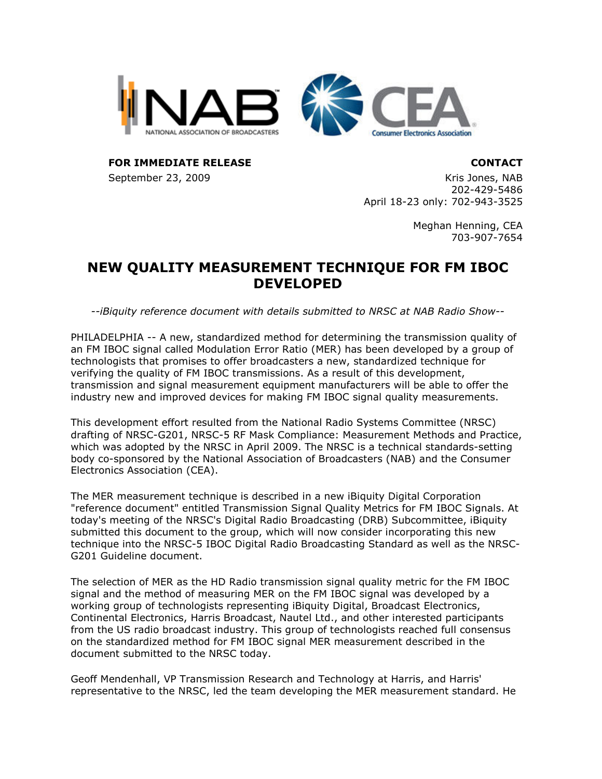



**FOR IMMEDIATE RELEASE CONTACT**

September 23, 2009 Kris Jones, NAB 202-429-5486 April 18-23 only: 702-943-3525

> Meghan Henning, CEA 703-907-7654

## **NEW QUALITY MEASUREMENT TECHNIQUE FOR FM IBOC DEVELOPED**

*--iBiquity reference document with details submitted to NRSC at NAB Radio Show--*

PHILADELPHIA -- A new, standardized method for determining the transmission quality of an FM IBOC signal called Modulation Error Ratio (MER) has been developed by a group of technologists that promises to offer broadcasters a new, standardized technique for verifying the quality of FM IBOC transmissions. As a result of this development, transmission and signal measurement equipment manufacturers will be able to offer the industry new and improved devices for making FM IBOC signal quality measurements.

This development effort resulted from the National Radio Systems Committee (NRSC) drafting of NRSC-G201, NRSC-5 RF Mask Compliance: Measurement Methods and Practice, which was adopted by the NRSC in April 2009. The NRSC is a technical standards-setting body co-sponsored by the National Association of Broadcasters (NAB) and the Consumer Electronics Association (CEA).

The MER measurement technique is described in a new iBiquity Digital Corporation "reference document" entitled Transmission Signal Quality Metrics for FM IBOC Signals. At today's meeting of the NRSC's Digital Radio Broadcasting (DRB) Subcommittee, iBiquity submitted this document to the group, which will now consider incorporating this new technique into the NRSC-5 IBOC Digital Radio Broadcasting Standard as well as the NRSC-G201 Guideline document.

The selection of MER as the HD Radio transmission signal quality metric for the FM IBOC signal and the method of measuring MER on the FM IBOC signal was developed by a working group of technologists representing iBiquity Digital, Broadcast Electronics, Continental Electronics, Harris Broadcast, Nautel Ltd., and other interested participants from the US radio broadcast industry. This group of technologists reached full consensus on the standardized method for FM IBOC signal MER measurement described in the document submitted to the NRSC today.

Geoff Mendenhall, VP Transmission Research and Technology at Harris, and Harris' representative to the NRSC, led the team developing the MER measurement standard. He